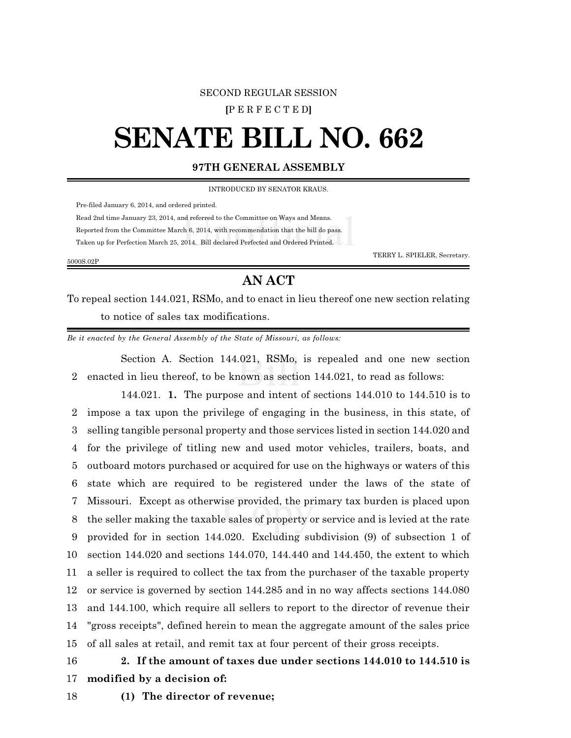## SECOND REGULAR SESSION

**[**P E R F E C T E D**]**

# **SENATE BILL NO. 662**

## **97TH GENERAL ASSEMBLY**

INTRODUCED BY SENATOR KRAUS.

Pre-filed January 6, 2014, and ordered printed.

Read 2nd time January 23, 2014, and referred to the Committee on Ways and Means.

Reported from the Committee March 6, 2014, with recommendation that the bill do pass.

Taken up for Perfection March 25, 2014. Bill declared Perfected and Ordered Printed.

5000S.02P

TERRY L. SPIELER, Secretary.

## **AN ACT**

To repeal section 144.021, RSMo, and to enact in lieu thereof one new section relating to notice of sales tax modifications.

*Be it enacted by the General Assembly of the State of Missouri, as follows:*

Section A. Section 144.021, RSMo, is repealed and one new section 2 enacted in lieu thereof, to be known as section 144.021, to read as follows:

144.021. **1.** The purpose and intent of sections 144.010 to 144.510 is to impose a tax upon the privilege of engaging in the business, in this state, of selling tangible personal property and those services listed in section 144.020 and for the privilege of titling new and used motor vehicles, trailers, boats, and outboard motors purchased or acquired for use on the highways or waters of this state which are required to be registered under the laws of the state of Missouri. Except as otherwise provided, the primary tax burden is placed upon the seller making the taxable sales of property or service and is levied at the rate provided for in section 144.020. Excluding subdivision (9) of subsection 1 of section 144.020 and sections 144.070, 144.440 and 144.450, the extent to which a seller is required to collect the tax from the purchaser of the taxable property or service is governed by section 144.285 and in no way affects sections 144.080 and 144.100, which require all sellers to report to the director of revenue their "gross receipts", defined herein to mean the aggregate amount of the sales price of all sales at retail, and remit tax at four percent of their gross receipts.

## 16 **2. If the amount of taxes due under sections 144.010 to 144.510 is**

17 **modified by a decision of:**

18 **(1) The director of revenue;**